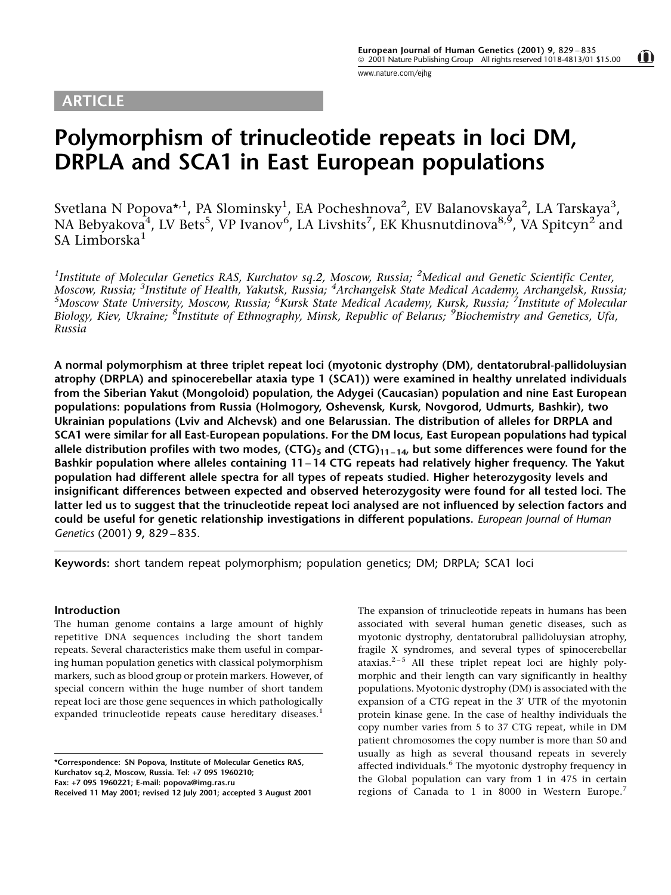# <span id="page-0-0"></span>ARTICLE

 $\bf{0}$ 

# Polymorphism of trinucleotide repeats in loci DM, DRPLA and SCA1 in East European populations

Svetlana N Popova\*<sup>,1</sup>, PA Slominsky<sup>1</sup>, EA Pocheshnova<sup>2</sup>, EV Balanovskaya<sup>2</sup>, LA Tarskaya<sup>3</sup>, NA Bebyakova<sup>4</sup>, LV Bets<sup>5</sup>, VP Ivanov<sup>6</sup>, LA Livshits<sup>7</sup>, EK Khusnutdinova<sup>8,9</sup>, VA Spitcyn<sup>2</sup> and SA Limborska<sup>1</sup>

<sup>1</sup>Institute of Molecular Genetics RAS, Kurchatov sq.2, Moscow, Russia; <sup>2</sup>Medical and Genetic Scientific Center, Moscow, Russia; <sup>3</sup>Institute of Health, Yakutsk, Russia; <sup>4</sup>Archangelsk State Medical Academy, Archangelsk, Russia;<br><sup>5</sup>Moscow State University, Moscow, Russia; <sup>6</sup>Kursk State Medical Academy, Kursk, Russia; 7Institute of M Moscow State University, Moscow, Russia; <sup>6</sup>Kursk State Medical Academy, Kursk, Russia; <sup>'7</sup>Institute of Molecular Biology, Kiev, Ukraine; <sup>8</sup>Institute of Ethnography, Minsk, Republic of Belarus; <sup>9</sup>Biochemistry and Genetics, Ufa, Russia

A normal polymorphism at three triplet repeat loci (myotonic dystrophy (DM), dentatorubral-pallidoluysian atrophy (DRPLA) and spinocerebellar ataxia type 1 (SCA1)) were examined in healthy unrelated individuals from the Siberian Yakut (Mongoloid) population, the Adygei (Caucasian) population and nine East European populations: populations from Russia (Holmogory, Oshevensk, Kursk, Novgorod, Udmurts, Bashkir), two Ukrainian populations (Lviv and Alchevsk) and one Belarussian. The distribution of alleles for DRPLA and SCA1 were similar for all East-European populations. For the DM locus, East European populations had typical allele distribution profiles with two modes,  $(CTG)_{5}$  and  $(CTG)_{11-14}$ , but some differences were found for the Bashkir population where alleles containing 11-14 CTG repeats had relatively higher frequency. The Yakut population had different allele spectra for all types of repeats studied. Higher heterozygosity levels and insignificant differences between expected and observed heterozygosity were found for all tested loci. The latter led us to suggest that the trinucleotide repeat loci analysed are not influenced by selection factors and could be useful for genetic relationship investigations in different populations. European Journal of Human Genetics (2001) 9, 829 - 835.

Keywords: short tandem repeat polymorphism; population genetics; DM; DRPLA; SCA1 loci

#### Introduction

The human genome contains a large amount of highly repetitive DNA sequences including the short tandem repeats. Several characteristics make them useful in comparing human population genetics with classical polymorphism markers, such as blood group or protein markers. However, of special concern within the huge number of short tandem repeat loci are those gene sequences in which pathologically expanded trinucleotide repeats cause hereditary diseases.<sup>[1](#page-5-0)</sup>

\*Correspondence: SN Popova, Institute of Molecular Genetics RAS, Kurchatov sq.2, Moscow, Russia. Tel: +7 095 1960210; Fax: +7 095 1960221; E-mail: popova@img.ras.ru

Received 11 May 2001; revised 12 July 2001; accepted 3 August 2001

The expansion of trinucleotide repeats in humans has been associated with several human genetic diseases, such as myotonic dystrophy, dentatorubral pallidoluysian atrophy, fragile X syndromes, and several types of spinocerebellar ataxias. $2-5$  $2-5$  All these triplet repeat loci are highly polymorphic and their length can vary significantly in healthy populations. Myotonic dystrophy (DM) is associated with the expansion of a CTG repeat in the 3' UTR of the myotonin protein kinase gene. In the case of healthy individuals the copy number varies from 5 to 37 CTG repeat, while in DM patient chromosomes the copy number is more than 50 and usually as high as several thousand repeats in severely affected individuals.<sup>[6](#page-6-0)</sup> The myotonic dystrophy frequency in the Global population can vary from 1 in 475 in certain regions of Canada to 1 in 8000 in Western Europe.[7](#page-6-0)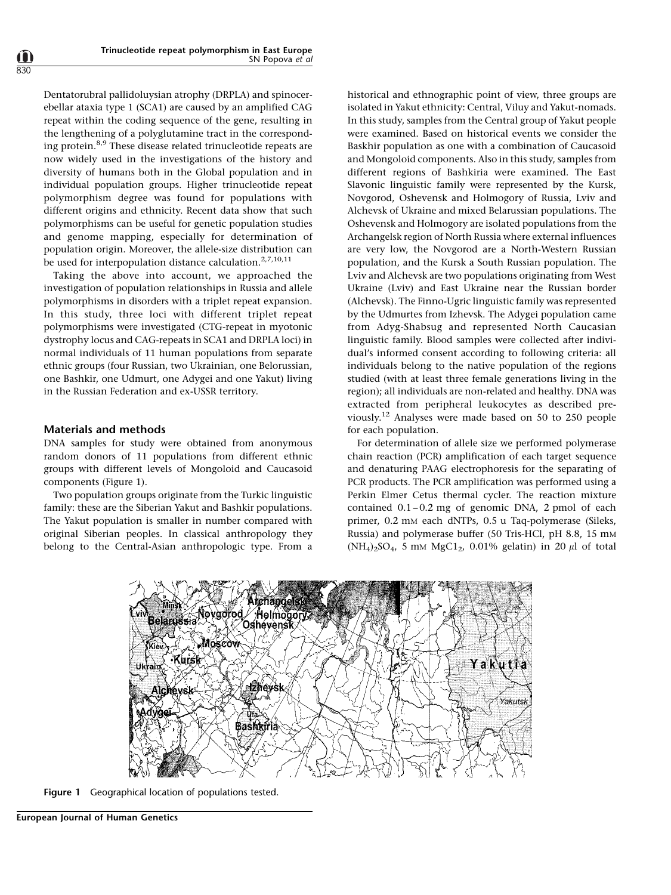Dentatorubral pallidoluysian atrophy (DRPLA) and spinocerebellar ataxia type 1 (SCA1) are caused by an amplified CAG repeat within the coding sequence of the gene, resulting in the lengthening of a polyglutamine tract in the corresponding protein.[8,9](#page-6-0) These disease related trinucleotide repeats are now widely used in the investigations of the history and diversity of humans both in the Global population and in individual population groups. Higher trinucleotide repeat polymorphism degree was found for populations with different origins and ethnicity. Recent data show that such polymorphisms can be useful for genetic population studies and genome mapping, especially for determination of population origin. Moreover, the allele-size distribution can be used for interpopulation distance calculation.<sup>[2](#page-5-0)[,7,10,11](#page-6-0)</sup>

Taking the above into account, we approached the investigation of population relationships in Russia and allele polymorphisms in disorders with a triplet repeat expansion. In this study, three loci with different triplet repeat polymorphisms were investigated (CTG-repeat in myotonic dystrophy locus and CAG-repeats in SCA1 and DRPLA loci) in normal individuals of 11 human populations from separate ethnic groups (four Russian, two Ukrainian, one Belorussian, one Bashkir, one Udmurt, one Adygei and one Yakut) living in the Russian Federation and ex-USSR territory.

## Materials and methods

DNA samples for study were obtained from anonymous random donors of 11 populations from different ethnic groups with different levels of Mongoloid and Caucasoid components ([Figure 1](#page-6-0)).

Two population groups originate from the Turkic linguistic family: these are the Siberian Yakut and Bashkir populations. The Yakut population is smaller in number compared with original Siberian peoples. In classical anthropology they belong to the Central-Asian anthropologic type. From a historical and ethnographic point of view, three groups are isolated in Yakut ethnicity: Central, Viluy and Yakut-nomads. In this study, samples from the Central group of Yakut people were examined. Based on historical events we consider the Baskhir population as one with a combination of Caucasoid and Mongoloid components. Also in this study, samples from different regions of Bashkiria were examined. The East Slavonic linguistic family were represented by the Kursk, Novgorod, Oshevensk and Holmogory of Russia, Lviv and Alchevsk of Ukraine and mixed Belarussian populations. The Oshevensk and Holmogory are isolated populations from the Archangelsk region of North Russia where external influences are very low, the Novgorod are a North-Western Russian population, and the Kursk a South Russian population. The Lviv and Alchevsk are two populations originating from West Ukraine (Lviv) and East Ukraine near the Russian border (Alchevsk). The Finno-Ugric linguistic family was represented by the Udmurtes from Izhevsk. The Adygei population came from Adyg-Shabsug and represented North Caucasian linguistic family. Blood samples were collected after individual's informed consent according to following criteria: all individuals belong to the native population of the regions studied (with at least three female generations living in the region); all individuals are non-related and healthy. DNA was extracted from peripheral leukocytes as described previously.[12](#page-6-0) Analyses were made based on 50 to 250 people for each population.

For determination of allele size we performed polymerase chain reaction (PCR) amplification of each target sequence and denaturing PAAG electrophoresis for the separating of PCR products. The PCR amplification was performed using a Perkin Elmer Cetus thermal cycler. The reaction mixture contained  $0.1 - 0.2$  mg of genomic DNA, 2 pmol of each primer, 0.2 mm each dNTPs, 0.5 u Taq-polymerase (Sileks, Russia) and polymerase buffer (50 Tris-HCl, pH 8.8, 15 mM  $(NH_4)_2SO_4$ , 5 mm MgC1<sub>2</sub>, 0.01% gelatin) in 20  $\mu$ l of total



Figure 1 Geographical location of populations tested.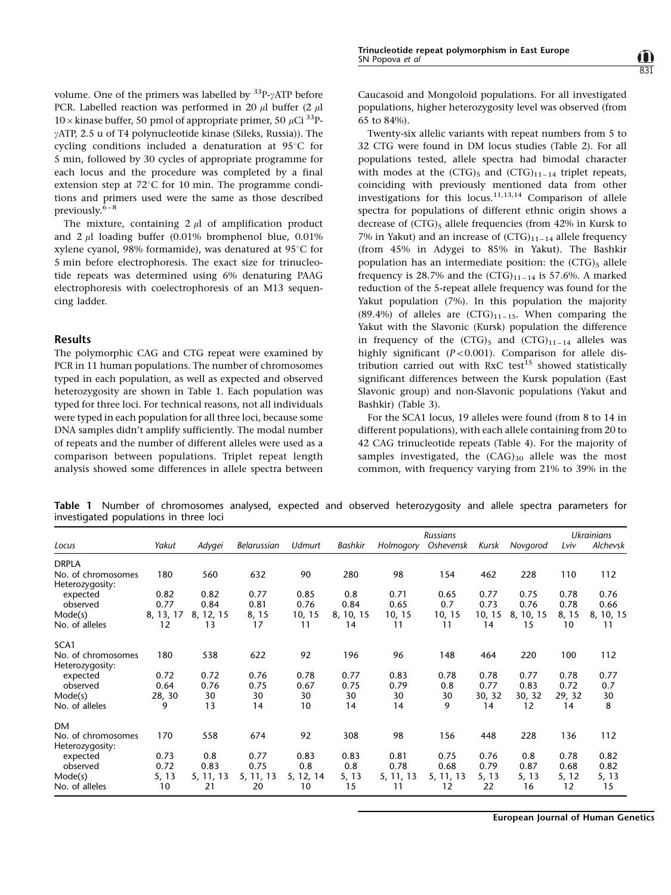volume. One of the primers was labelled by  ${}^{33}P-\gamma$ ATP before PCR. Labelled reaction was performed in 20  $\mu$ l buffer (2  $\mu$ l  $10 \times$  kinase buffer, 50 pmol of appropriate primer, 50  $\mu$ Ci  $^{33}$ PgATP, 2.5 u of T4 polynucleotide kinase (Sileks, Russia)). The cycling conditions included a denaturation at  $95^{\circ}$ C for 5 min, followed by 30 cycles of appropriate programme for each locus and the procedure was completed by a final extension step at  $72^{\circ}$ C for 10 min. The programme conditions and primers used were the same as those described previously.<sup>[6](#page-6-0)-[8](#page-6-0)</sup>

The mixture, containing  $2 \mu l$  of amplification product and  $2 \mu$ l loading buffer (0.01% bromphenol blue, 0.01% xylene cyanol, 98% formamide), was denatured at  $95^{\circ}$ C for 5 min before electrophoresis. The exact size for trinucleotide repeats was determined using 6% denaturing PAAG electrophoresis with coelectrophoresis of an M13 sequencing ladder.

### Results

The polymorphic CAG and CTG repeat were examined by PCR in 11 human populations. The number of chromosomes typed in each population, as well as expected and observed heterozygosity are shown in [Table 1](#page-0-0). Each population was typed for three loci. For technical reasons, not all individuals were typed in each population for all three loci, because some DNA samples didn't amplify sufficiently. The modal number of repeats and the number of different alleles were used as a comparison between populations. Triplet repeat length analysis showed some differences in allele spectra between Caucasoid and Mongoloid populations. For all investigated populations, higher heterozygosity level was observed (from 65 to 84%).

Twenty-six allelic variants with repeat numbers from 5 to 32 CTG were found in DM locus studies ([Table 2\)](#page-0-0). For all populations tested, allele spectra had bimodal character with modes at the  $(CTG)_5$  and  $(CTG)_{11-14}$  triplet repeats, coinciding with previously mentioned data from other investigations for this locus.[11,13,14](#page-6-0) Comparison of allele spectra for populations of different ethnic origin shows a decrease of  $(CTG)_{5}$  allele frequencies (from 42% in Kursk to 7% in Yakut) and an increase of  $(CTG)_{11-14}$  allele frequency (from 45% in Adygei to 85% in Yakut). The Bashkir population has an intermediate position: the  $(CTG)_{5}$  allele frequency is 28.7% and the  $(CTG)_{11-14}$  is 57.6%. A marked reduction of the 5-repeat allele frequency was found for the Yakut population (7%). In this population the majority (89.4%) of alleles are  $(CTG)_{11-15}$ . When comparing the Yakut with the Slavonic (Kursk) population the difference in frequency of the  $(CTG)_{5}$  and  $(CTG)_{11-14}$  alleles was highly significant  $(P<0.001)$ . Comparison for allele dis-tribution carried out with RxC test<sup>[15](#page-6-0)</sup> showed statistically significant differences between the Kursk population (East Slavonic group) and non-Slavonic populations (Yakut and Bashkir) [\(Table 3](#page-0-0)).

For the SCA1 locus, 19 alleles were found (from 8 to 14 in different populations), with each allele containing from 20 to 42 CAG trinucleotide repeats [\(Table 4](#page-0-0)). For the majority of samples investigated, the  $(CAG)_{30}$  allele was the most common, with frequency varying from 21% to 39% in the

Table 1 Number of chromosomes analysed, expected and observed heterozygosity and allele spectra parameters for investigated populations in three loci

|                                       |           |           |             |               |                |           | Russians  |        |           |        | <b>Ukrainians</b> |
|---------------------------------------|-----------|-----------|-------------|---------------|----------------|-----------|-----------|--------|-----------|--------|-------------------|
| Locus                                 | Yakut     | Adygei    | Belarussian | <b>Udmurt</b> | <b>Bashkir</b> | Holmogory | Oshevensk | Kursk  | Novgorod  | Lviv   | Alchevsk          |
| <b>DRPLA</b>                          |           |           |             |               |                |           |           |        |           |        |                   |
| No. of chromosomes<br>Heterozygosity: | 180       | 560       | 632         | 90            | 280            | 98        | 154       | 462    | 228       | 110    | 112               |
| expected                              | 0.82      | 0.82      | 0.77        | 0.85          | 0.8            | 0.71      | 0.65      | 0.77   | 0.75      | 0.78   | 0.76              |
| observed                              | 0.77      | 0.84      | 0.81        | 0.76          | 0.84           | 0.65      | 0.7       | 0.73   | 0.76      | 0.78   | 0.66              |
| Mode(s)                               | 8, 13, 17 | 8, 12, 15 | 8, 15       | 10, 15        | 8, 10, 15      | 10, 15    | 10, 15    | 10, 15 | 8, 10, 15 | 8, 15  | 8, 10, 15         |
| No. of alleles                        | 12        | 13        | 17          | 11            | 14             | 11        | 11        | 14     | 15        | 10     | 11                |
| SCA1                                  |           |           |             |               |                |           |           |        |           |        |                   |
| No. of chromosomes                    | 180       | 538       | 622         | 92            | 196            | 96        | 148       | 464    | 220       | 100    | 112               |
| Heterozygosity:                       |           |           |             |               |                |           |           |        |           |        |                   |
| expected                              | 0.72      | 0.72      | 0.76        | 0.78          | 0.77           | 0.83      | 0.78      | 0.78   | 0.77      | 0.78   | 0.77              |
| observed                              | 0.64      | 0.76      | 0.75        | 0.67          | 0.75           | 0.79      | 0.8       | 0.77   | 0.83      | 0.72   | 0.7               |
| Mode(s)                               | 28, 30    | 30        | 30          | 30            | 30             | 30        | 30        | 30, 32 | 30, 32    | 29, 32 | 30                |
| No. of alleles                        | 9         | 13        | 14          | 10            | 14             | 14        | 9         | 14     | 12        | 14     | 8                 |
| <b>DM</b>                             |           |           |             |               |                |           |           |        |           |        |                   |
| No. of chromosomes                    | 170       | 558       | 674         | 92            | 308            | 98        | 156       | 448    | 228       | 136    | 112               |
| Heterozygosity:                       |           |           |             |               |                |           |           |        |           |        |                   |
| expected                              | 0.73      | 0.8       | 0.77        | 0.83          | 0.83           | 0.81      | 0.75      | 0.76   | 0.8       | 0.78   | 0.82              |
| observed                              | 0.72      | 0.83      | 0.75        | 0.8           | 0.8            | 0.78      | 0.68      | 0.79   | 0.87      | 0.68   | 0.82              |
| Mode(s)                               | 5, 13     | 5, 11, 13 | 5, 11, 13   | 5, 12, 14     | 5, 13          | 5, 11, 13 | 5, 11, 13 | 5, 13  | 5, 13     | 5, 12  | 5, 13             |
| No. of alleles                        | 10        | 21        | 20          | 10            | 15             | 11        | 12        | 22     | 16        | 12     | 15                |

European Journal of Human Genetics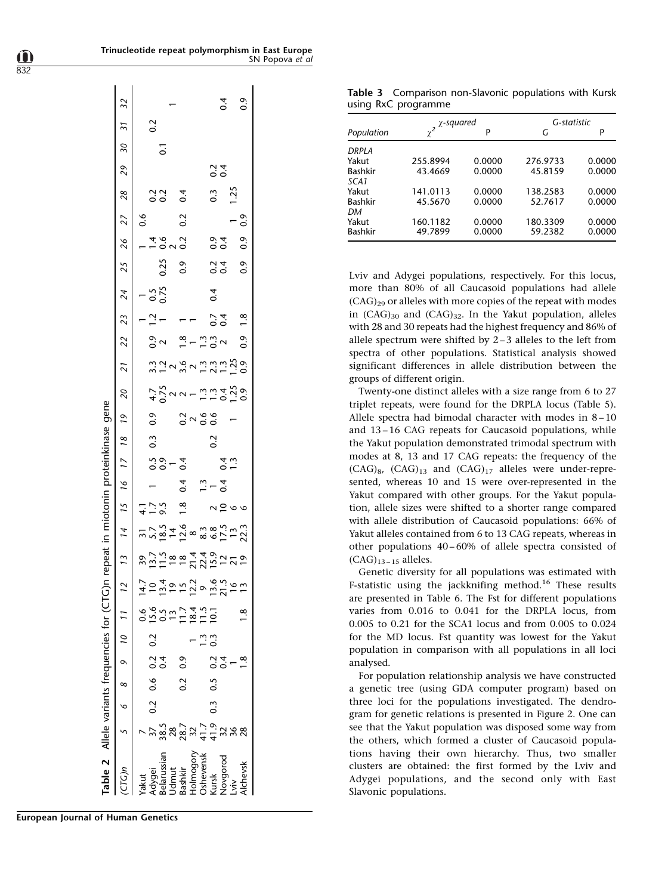| Table 2 Allele variants frequencies for (CTG)n repeat in miotonin proteinkinase gene |                  |     |                   |                                |                            |                                                                                                                                                                                                                                   |                                                                |                                                                                                                                                                                                                       |                         |                 |                                  |                  |                                           |                                                           |                                                            |                          |               |                |         |                |                  |                 |                |     |            |
|--------------------------------------------------------------------------------------|------------------|-----|-------------------|--------------------------------|----------------------------|-----------------------------------------------------------------------------------------------------------------------------------------------------------------------------------------------------------------------------------|----------------------------------------------------------------|-----------------------------------------------------------------------------------------------------------------------------------------------------------------------------------------------------------------------|-------------------------|-----------------|----------------------------------|------------------|-------------------------------------------|-----------------------------------------------------------|------------------------------------------------------------|--------------------------|---------------|----------------|---------|----------------|------------------|-----------------|----------------|-----|------------|
|                                                                                      |                  |     | 56891011          |                                |                            |                                                                                                                                                                                                                                   | 12 13 14 15 16 17 18 19 20 21 22 23 24 25 26 27 28 29 30 31 32 |                                                                                                                                                                                                                       |                         |                 |                                  |                  |                                           |                                                           |                                                            |                          |               |                |         |                |                  |                 |                |     |            |
|                                                                                      |                  |     |                   |                                |                            |                                                                                                                                                                                                                                   |                                                                |                                                                                                                                                                                                                       |                         |                 |                                  |                  |                                           |                                                           |                                                            |                          |               |                |         | $\frac{6}{1}$  |                  |                 |                |     |            |
|                                                                                      |                  |     | $0.2$ 0.6 0.2 0.2 |                                | 6.952714501<br>0.591714501 | $14.7$<br>$14.9$ $14.9$ $14.9$ $14.9$ $14.9$ $14.9$ $14.9$ $14.9$ $14.9$ $14.9$ $14.9$ $14.9$ $14.9$ $14.9$ $14.9$ $14.9$ $14.9$ $14.9$ $14.9$ $14.9$ $14.9$ $14.9$ $14.9$ $14.9$ $14.9$ $14.9$ $14.9$ $14.9$ $14.9$ $14.9$ $14.$ |                                                                |                                                                                                                                                                                                                       | $4 - 5$<br>$-5$<br>$-5$ | $\overline{a}$  | $30 - 70 - 00$                   | $0.\overline{3}$ | 0.9                                       |                                                           | $\frac{6}{2}$                                              | $-2 -$                   | $-3.5$<br>0.5 |                | $-1800$ |                |                  |                 |                | 0.2 |            |
| Adygei<br>Belarussian                                                                |                  |     |                   |                                |                            |                                                                                                                                                                                                                                   |                                                                |                                                                                                                                                                                                                       |                         |                 |                                  |                  |                                           |                                                           |                                                            |                          |               | 0.25           |         |                | $\frac{2}{3}$    |                 | $\overline{C}$ |     |            |
|                                                                                      |                  |     |                   |                                |                            |                                                                                                                                                                                                                                   |                                                                |                                                                                                                                                                                                                       |                         |                 |                                  |                  |                                           |                                                           |                                                            |                          |               |                |         |                |                  |                 |                |     |            |
| Jdmut<br>Bashkir                                                                     |                  | 0.2 | 6.9               |                                |                            |                                                                                                                                                                                                                                   |                                                                |                                                                                                                                                                                                                       | $1.\overline{8}$        | $\ddot{0}$      |                                  |                  | $\frac{2}{0}$ $\frac{0}{0}$ $\frac{6}{0}$ | $7.5$<br>$7.5$<br>$0.0 - 7.75$<br>$0.5$<br>$0.5$<br>$0.5$ | $\frac{3}{1} - \frac{3}{1} \frac{3}{1} \frac{3}{1} \times$ | $\overline{\phantom{0}}$ |               | 0.9            |         | 0.2            | 0.4              |                 |                |     |            |
|                                                                                      |                  |     |                   |                                |                            |                                                                                                                                                                                                                                   |                                                                |                                                                                                                                                                                                                       |                         |                 |                                  |                  |                                           |                                                           |                                                            |                          |               |                |         |                |                  |                 |                |     |            |
| łolmogory<br>Oshevensk                                                               |                  |     |                   |                                |                            |                                                                                                                                                                                                                                   |                                                                |                                                                                                                                                                                                                       |                         | $\frac{3}{2}$ – |                                  |                  |                                           |                                                           |                                                            |                          |               |                |         |                |                  |                 |                |     |            |
| <b>kursk</b>                                                                         | $0.\overline{3}$ | 0.5 | 0.4               | $\frac{3}{2}$<br>$\frac{3}{2}$ |                            |                                                                                                                                                                                                                                   |                                                                |                                                                                                                                                                                                                       | $\sim 200$              |                 |                                  | 0.2              |                                           |                                                           |                                                            |                          | 0.4           |                |         |                | $0.\overline{3}$ |                 |                |     |            |
| lovgorod                                                                             |                  |     |                   |                                |                            |                                                                                                                                                                                                                                   |                                                                |                                                                                                                                                                                                                       |                         | 0.4             |                                  |                  |                                           |                                                           |                                                            | 0.4                      |               | 0.4            | 0.4     |                |                  | $\frac{2}{0.4}$ |                |     | 0.4        |
|                                                                                      |                  |     |                   |                                |                            |                                                                                                                                                                                                                                   |                                                                |                                                                                                                                                                                                                       |                         |                 | $\frac{4}{1}$ .<br>$\frac{1}{2}$ |                  |                                           |                                                           |                                                            |                          |               |                |         |                | 1.25             |                 |                |     |            |
| <b>Alchevsk</b>                                                                      |                  |     |                   |                                |                            |                                                                                                                                                                                                                                   |                                                                | $\frac{5}{5}$ , $\frac{5}{5}$ , $\frac{5}{5}$ , $\frac{4}{5}$ , $\frac{6}{5}$ $\approx$ $\frac{6}{5}$ , $\frac{3}{5}$ , $\frac{3}{5}$ , $\frac{3}{5}$ , $\frac{3}{5}$ , $\frac{3}{5}$ , $\frac{3}{5}$ , $\frac{3}{5}$ |                         |                 |                                  |                  |                                           |                                                           | $0.9$ 1.8                                                  |                          |               | $\ddot{\rm o}$ | 0.9     | $\ddot{\circ}$ |                  |                 |                |     | $\ddot{0}$ |
|                                                                                      |                  |     |                   |                                |                            |                                                                                                                                                                                                                                   |                                                                |                                                                                                                                                                                                                       |                         |                 |                                  |                  |                                           |                                                           |                                                            |                          |               |                |         |                |                  |                 |                |     |            |

Table 3 Comparison non-Slavonic populations with Kursk using RxC programme

|            |                    |        | G-statistic |        |
|------------|--------------------|--------|-------------|--------|
| Population | $\chi^2$ x-squared | P      | G           | P      |
| DRPLA      |                    |        |             |        |
| Yakut      | 255.8994           | 0.0000 | 276.9733    | 0.0000 |
| Bashkir    | 43.4669            | 0.0000 | 45.8159     | 0.0000 |
| SCA1       |                    |        |             |        |
| Yakut      | 141.0113           | 0.0000 | 138.2583    | 0.0000 |
| Bashkir    | 45.5670            | 0.0000 | 52.7617     | 0.0000 |
| DΜ         |                    |        |             |        |
| Yakut      | 160.1182           | 0.0000 | 180.3309    | 0.0000 |
| Bashkir    | 49.7899            | 0.0000 | 59.2382     | 0.0000 |

Lviv and Adygei populations, respectively. For this locus, more than 80% of all Caucasoid populations had allele  $(CAG)_{29}$  or alleles with more copies of the repeat with modes in  $(CAG)_{30}$  and  $(CAG)_{32}$ . In the Yakut population, alleles with 28 and 30 repeats had the highest frequency and 86% of allele spectrum were shifted by  $2-3$  alleles to the left from spectra of other populations. Statistical analysis showed significant differences in allele distribution between the groups of different origin.

Twenty-one distinct alleles with a size range from 6 to 27 triplet repeats, were found for the DRPLA locus [\(Table 5](#page-0-0)). Allele spectra had bimodal character with modes in  $8-10$ and 13-16 CAG repeats for Caucasoid populations, while the Yakut population demonstrated trimodal spectrum with modes at 8, 13 and 17 CAG repeats: the frequency of the  $(CAG)_{8}$ ,  $(CAG)_{13}$  and  $(CAG)_{17}$  alleles were under-represented, whereas 10 and 15 were over-represented in the Yakut compared with other groups. For the Yakut population, allele sizes were shifted to a shorter range compared with allele distribution of Caucasoid populations: 66% of Yakut alleles contained from 6 to 13 CAG repeats, whereas in other populations  $40 - 60\%$  of allele spectra consisted of  $(CAG)_{13-15}$  alleles.

Genetic diversity for all populations was estimated with F-statistic using the jackknifing method.<sup>[16](#page-6-0)</sup> These results are presented in [Table 6](#page-0-0). The Fst for different populations varies from 0.016 to 0.041 for the DRPLA locus, from 0.005 to 0.21 for the SCA1 locus and from 0.005 to 0.024 for the MD locus. Fst quantity was lowest for the Yakut population in comparison with all populations in all loci analysed.

For population relationship analysis we have constructed a genetic tree (using GDA computer program) based on three loci for the populations investigated. The dendrogram for genetic relations is presented in [Figure 2](#page-6-0). One can see that the Yakut population was disposed some way from the others, which formed a cluster of Caucasoid populations having their own hierarchy. Thus, two smaller clusters are obtained: the first formed by the Lviv and Adygei populations, and the second only with East Slavonic populations.

832

European Journal of Human Genetics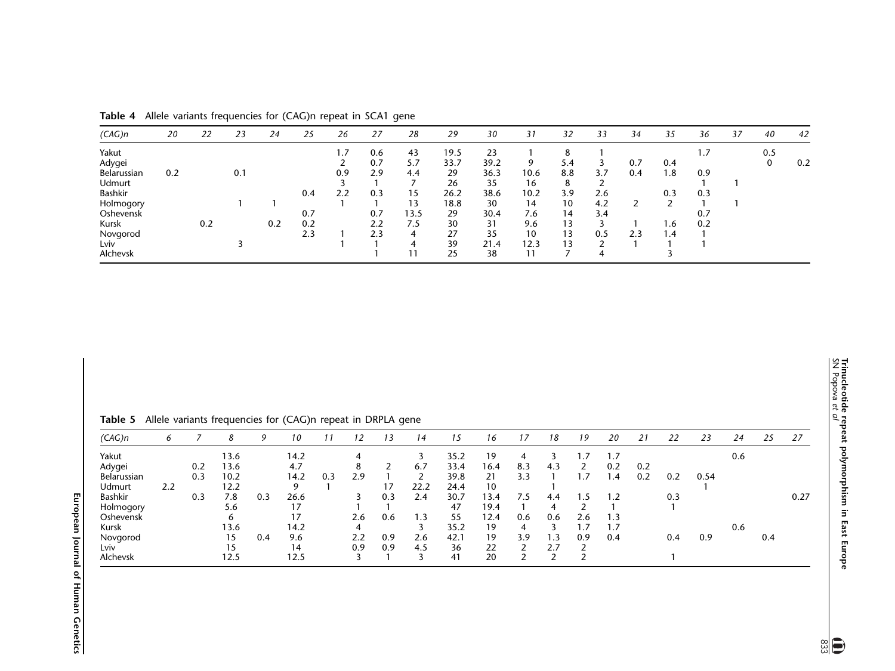| $(CAG)$ n     | 20  | 22  | 23  | 24  | 25  | 26   | 27  | 28   | 29   | 30   | 31   | 32  | 33  | 34  | 35           | 36  | 37 | 40  | 42  |
|---------------|-----|-----|-----|-----|-----|------|-----|------|------|------|------|-----|-----|-----|--------------|-----|----|-----|-----|
| Yakut         |     |     |     |     |     | ı. / | 0.6 | 43   | 19.5 | 23   |      |     |     |     |              | 1.7 |    | 0.5 |     |
| Adygei        |     |     |     |     |     |      | 0.7 | 5.7  | 33.7 | 39.2 | Q    | 5.4 |     | 0.7 | 0.4          |     |    | 0   | 0.2 |
| Belarussian   | 0.2 |     | 0.1 |     |     | 0.9  | 2.9 | 4.4  | 29   | 36.3 | 10.6 | 8.8 | 3.7 | 0.4 | 8. ،         | 0.9 |    |     |     |
| <b>Udmurt</b> |     |     |     |     |     |      |     |      | 26   | 35   | 16   | 8   |     |     |              |     |    |     |     |
| Bashkir       |     |     |     |     | 0.4 | 2.2  | 0.3 | 15   | 26.2 | 38.6 | 10.2 | 3.9 | 2.6 |     | 0.3          | 0.3 |    |     |     |
| Holmogory     |     |     |     |     |     |      |     | 13   | 18.8 | 30   | 14   | 10  | 4.2 |     |              |     |    |     |     |
| Oshevensk     |     |     |     |     | 0.7 |      | 0.7 | 13.5 | 29   | 30.4 | 7.6  | 14  | 3.4 |     |              | 0.7 |    |     |     |
| Kursk         |     | 0.2 |     | 0.2 | 0.2 |      | 2.2 | 7.5  | 30   | 31   | 9.6  | 13  |     |     | . 6. ،       | 0.2 |    |     |     |
| Novgorod      |     |     |     |     | 2.3 |      | 2.3 | 4    | 27   | 35   | 10   | 13  | 0.5 | 2.3 | $\mathbf{A}$ |     |    |     |     |
| Lviv          |     |     |     |     |     |      |     |      | 39   | 21.4 | 12.3 | 13  |     |     |              |     |    |     |     |
| Alchevsk      |     |     |     |     |     |      |     | 11   | 25   | 38   |      |     | 4   |     |              |     |    |     |     |

Table 4 Allele variants frequencies for (CAG)n repea<sup>t</sup> in SCA1 gene

| <b>Table 5</b> Allele variants frequencies for (CAG)n repeat in DRPLA gene |
|----------------------------------------------------------------------------|
|----------------------------------------------------------------------------|

| $(CAG)$ n   | 6   |     | 8    | <b>Q</b> | 10   |     | 12  | 13  | 14              | 15   | 16   |     | 18  | 19  | 20         | 21  | 22  | 23   | 24  | 25  | 27   |
|-------------|-----|-----|------|----------|------|-----|-----|-----|-----------------|------|------|-----|-----|-----|------------|-----|-----|------|-----|-----|------|
| Yakut       |     |     | 13.6 |          | 14.2 |     |     |     |                 | 35.2 | 19   | 4   |     |     | 1.7        |     |     |      | 0.6 |     |      |
| Adygei      |     | 0.2 | 13.6 |          | 4.7  |     | 8   |     | 6.7             | 33.4 | 16.4 | 8.3 | 4.3 |     | 0.2        | 0.2 |     |      |     |     |      |
| Belarussian |     | 0.3 | 10.2 |          | 14.2 | 0.3 | 2.9 |     |                 | 39.8 | 21   | 3.3 |     |     | 4. ا       | 0.2 | 0.2 | 0.54 |     |     |      |
| Udmurt      | 2.2 |     | 12.2 |          | Q    |     |     | 17  | 22.2            | 24.4 | 10   |     |     |     |            |     |     |      |     |     |      |
| Bashkir     |     | 0.3 | 7.8  | 0.3      | 26.6 |     |     | 0.3 | 2.4             | 30.7 | 13.4 |     | 4.4 | د.  | $\cdot$ .2 |     | 0.3 |      |     |     | 0.27 |
| Holmogory   |     |     | 5.6  |          | 17   |     |     |     |                 | 47   | 19.4 |     |     |     |            |     |     |      |     |     |      |
| Oshevensk   |     |     | 6    |          | 17   |     | 2.6 | 0.6 | $\overline{.3}$ | 55   | 12.4 | 0.6 | 0.6 | 2.6 | l .3       |     |     |      |     |     |      |
| Kursk       |     |     | 13.6 |          | 14.2 |     | 4   |     |                 | 35.2 | 19   | 4   |     |     | ۱.7        |     |     |      | 0.6 |     |      |
| Novgorod    |     |     | 15   | 0.4      | 9.6  |     | 2.2 | 0.9 | 2.6             | 42.1 | 19   | 3.9 | 1.3 | 0.9 | 0.4        |     | 0.4 | 0.9  |     | 0.4 |      |
| Lviv        |     |     | 15   |          | 14   |     | 0.9 | 0.9 | 4.5             | 36   | 22   | ົາ  | 2.7 | ຳ   |            |     |     |      |     |     |      |
| Alchevsk    |     |     | 12.5 |          | 12.5 |     |     |     |                 | 41   | 20   | ำ   |     | ຳ   |            |     |     |      |     |     |      |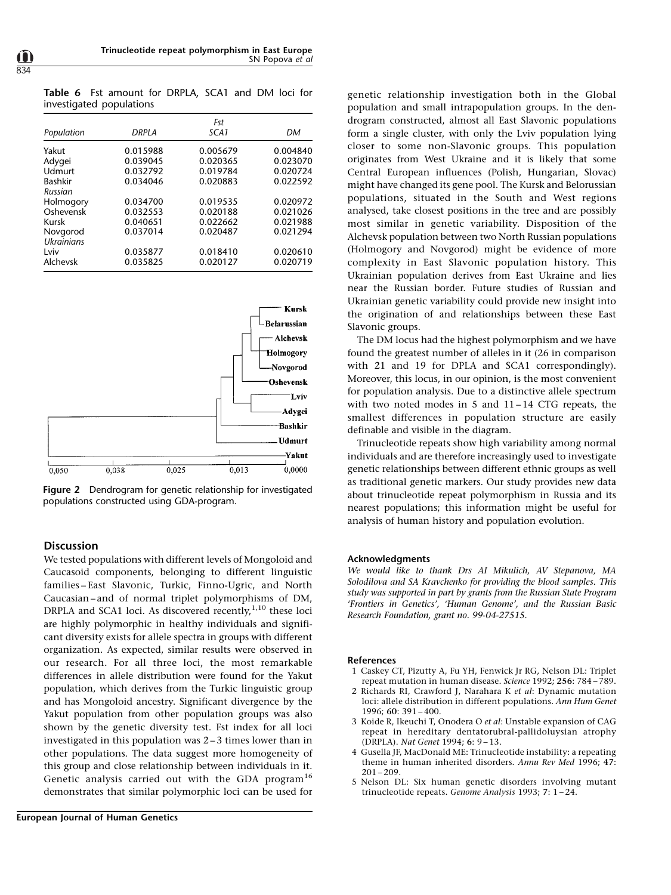<span id="page-5-0"></span>Table 6 Fst amount for DRPLA, SCA1 and DM loci for investigated populations

| Population        | DRPLA    | Fst<br>SCA <sub>1</sub> | DΜ       |
|-------------------|----------|-------------------------|----------|
| Yakut             | 0.015988 | 0.005679                | 0.004840 |
| Adygei            | 0.039045 | 0.020365                | 0.023070 |
| Udmurt            | 0.032792 | 0.019784                | 0.020724 |
| <b>Bashkir</b>    | 0.034046 | 0.020883                | 0.022592 |
| Russian           |          |                         |          |
| Holmogory         | 0.034700 | 0.019535                | 0.020972 |
| Oshevensk         | 0.032553 | 0.020188                | 0.021026 |
| Kursk             | 0.040651 | 0.022662                | 0.021988 |
| Novgorod          | 0.037014 | 0.020487                | 0.021294 |
| <b>Ukrainians</b> |          |                         |          |
| Lviv              | 0.035877 | 0.018410                | 0.020610 |
| Alchevsk          | 0.035825 | 0.020127                | 0.020719 |



Figure 2 Dendrogram for genetic relationship for investigated populations constructed using GDA-program.

# **Discussion**

We tested populations with different levels of Mongoloid and Caucasoid components, belonging to different linguistic families-East Slavonic, Turkic, Finno-Ugric, and North Caucasian - and of normal triplet polymorphisms of DM, DRPLA and SCA1 loci. As discovered recently,<sup>1,[10](#page-6-0)</sup> these loci are highly polymorphic in healthy individuals and significant diversity exists for allele spectra in groups with different organization. As expected, similar results were observed in our research. For all three loci, the most remarkable differences in allele distribution were found for the Yakut population, which derives from the Turkic linguistic group and has Mongoloid ancestry. Significant divergence by the Yakut population from other population groups was also shown by the genetic diversity test. Fst index for all loci investigated in this population was  $2-3$  times lower than in other populations. The data suggest more homogeneity of this group and close relationship between individuals in it. Genetic analysis carried out with the GDA program<sup>[16](#page-6-0)</sup> demonstrates that similar polymorphic loci can be used for

genetic relationship investigation both in the Global population and small intrapopulation groups. In the dendrogram constructed, almost all East Slavonic populations form a single cluster, with only the Lviv population lying closer to some non-Slavonic groups. This population originates from West Ukraine and it is likely that some Central European influences (Polish, Hungarian, Slovac) might have changed its gene pool. The Kursk and Belorussian populations, situated in the South and West regions analysed, take closest positions in the tree and are possibly most similar in genetic variability. Disposition of the Alchevsk population between two North Russian populations (Holmogory and Novgorod) might be evidence of more complexity in East Slavonic population history. This Ukrainian population derives from East Ukraine and lies near the Russian border. Future studies of Russian and Ukrainian genetic variability could provide new insight into the origination of and relationships between these East Slavonic groups.

The DM locus had the highest polymorphism and we have found the greatest number of alleles in it (26 in comparison with 21 and 19 for DPLA and SCA1 correspondingly). Moreover, this locus, in our opinion, is the most convenient for population analysis. Due to a distinctive allele spectrum with two noted modes in  $5$  and  $11-14$  CTG repeats, the smallest differences in population structure are easily definable and visible in the diagram.

Trinucleotide repeats show high variability among normal individuals and are therefore increasingly used to investigate genetic relationships between different ethnic groups as well as traditional genetic markers. Our study provides new data about trinucleotide repeat polymorphism in Russia and its nearest populations; this information might be useful for analysis of human history and population evolution.

#### Acknowledgments

We would like to thank Drs AI Mikulich, AV Stepanova, MA Solodilova and SA Kravchenko for providing the blood samples. This study was supported in part by grants from the Russian State Program 'Frontiers in Genetics', 'Human Genome', and the Russian Basic Research Foundation, grant no. 99-04-27515.

#### References

- 1 Caskey CT, Pizutty A, Fu YH, Fenwick Jr RG, Nelson DL: Triplet repeat mutation in human disease. Science 1992; 256: 784-789.
- 2 Richards RI, Crawford J, Narahara K et al: Dynamic mutation loci: allele distribution in different populations. Ann Hum Genet  $1996: 60: 391 - 400.$
- 3 Koide R, Ikeuchi T, Onodera O et al: Unstable expansion of CAG repeat in hereditary dentatorubral-pallidoluysian atrophy (DRPLA). Nat Genet 1994; 6: 9-13.
- 4 Gusella JF, MacDonald ME: Trinucleotide instability: a repeating theme in human inherited disorders. Annu Rev Med 1996; 47:  $201 - 209$
- 5 Nelson DL: Six human genetic disorders involving mutant trinucleotide repeats. Genome Analysis 1993; 7: 1-24.